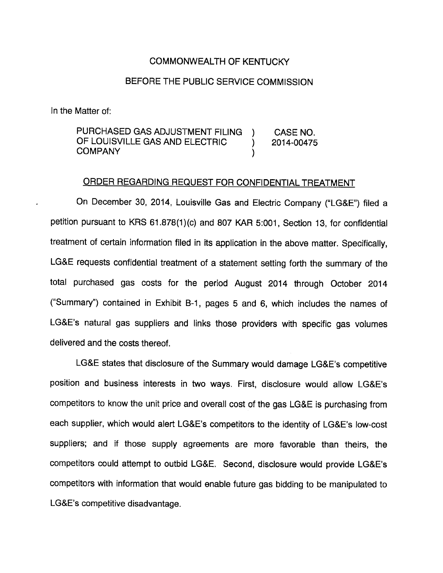## COMMONWEALTH OF KENTUCKY

## BEFORE THE PUBLIC SERVICE COMMISSION

In the Matter of:

PURCHASED GAS ADJUSTMENT FILING ) CASE NO. OF LOUISVILLE GAS AND ELECTRIC (2014-00475) **COMPANY** 

## ORDER REGARDING REQUEST FOR CONFIDENTIAL TREATMENT

On December 30, 2014, Louisville Gas and Electric Company ("LG&E") filed a petition pursuant to KRS 61.878(1)(c) and 807 KAR 5:001, Section 13. for confidential treatment of certain information filed in its application in the above matter. Specifically, LG&E requests confidential treatment of a statement setting forth the summary of the total purchased gas costs for the period August 2014 through October 2014 ("Summary") contained in Exhibit B-1, pages 5 and 6, which includes the names of LG&E's natural gas suppliers and links those providers with specific gas volumes delivered and the costs thereof.

LG&E states that disclosure of the Summary would damage LG&E's competitive position and business interests in two ways. First, disclosure would allow LG&E's competitors to know the unit price and overall cost of the gas LG&E is purchasing from each supplier, which would alert LG&E's competitors to the identity of LG&E's low-cost suppliers; and if those supply agreements are more favorable than theirs, the competitors could attempt to outbid LG&E. Second, disclosure would provide LG&E's competitors with information that would enable future gas bidding to be manipulated to LG&E's competitive disadvantage.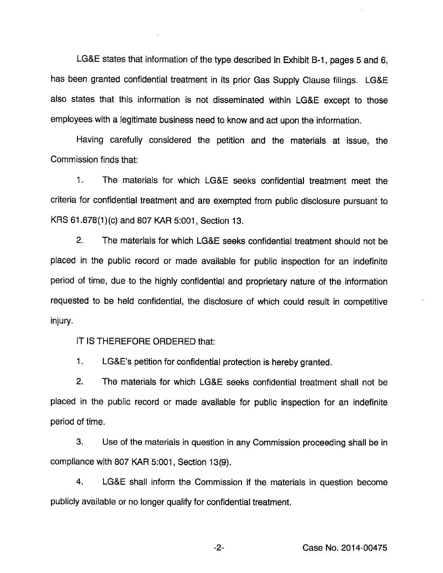LG&E states that information of the type described in Exhibit B-1, pages 5 and 6, has been granted confidential treatment in its prior Gas Supply Clause filings. LG&E also states that this information is not disseminated within LG&E except to those employees with a legitimate business need to know and act upon the information.

Having carefully considered the petition and the materials at issue, the Commission finds that;

1. The materials for which LG&E seeks confidential treatment meet the criteria for confidential treatment and are exempted from public disclosure pursuant to KRS 61.878(1 )(c) and 807 KAR 5:001, Section 13.

2. The materials for which LG&E seeks confidential treatment should not be placed in the public record or made available for public inspection for an indefinite period of time, due to the highly confidential and proprietary nature of the information requested to be held confidential, the disclosure of which could result in competitive injury.

IT IS THEREFORE ORDERED that:

1. LG&E's petition for confidential protection is hereby granted.

2. The materials for which LG&E seeks confidential treatment shall not be placed in the public record or made available for public inspection for an indefinite period of time.

3. Use of the materials in question in any Commission proceeding shall be in compliance with 807 KAR 5:001, Section 13(9).

4. LG&E shall inform the Commission if the materials in question become publicly available or no longer qualify for confidential treatment.

Case No. 2014-00475

 $-2-$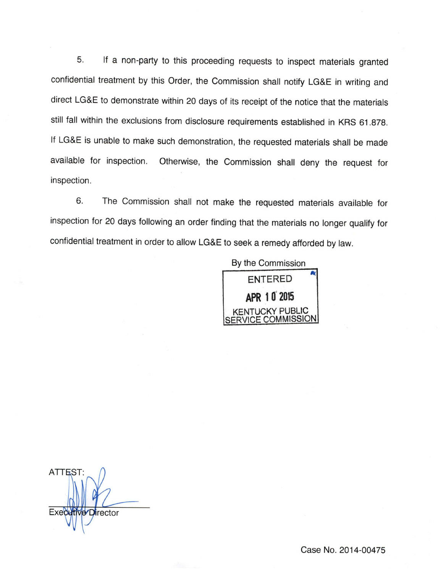5. If a non-party to this proceeding requests to inspect materials granted confidential treatment by this Order, the Commission shall notify LG&E in writing and direct LG&E to demonstrate within 20 days of its receipt of the notice that the materials still fall within the exclusions from disclosure requirements established in KRS 61.878. If LG&E is unable to make such demonstration, the requested materials shall be made available for inspection. Otherwise, the Commission shall deny the request for inspection.

6. The Commission shall not make the requested materials available for inspection for 20 days following an order finding that the materials no longer qualify for confidential treatment in order to allow LG&E to seek a remedy afforded by law.



**ATTEST** Execu Director